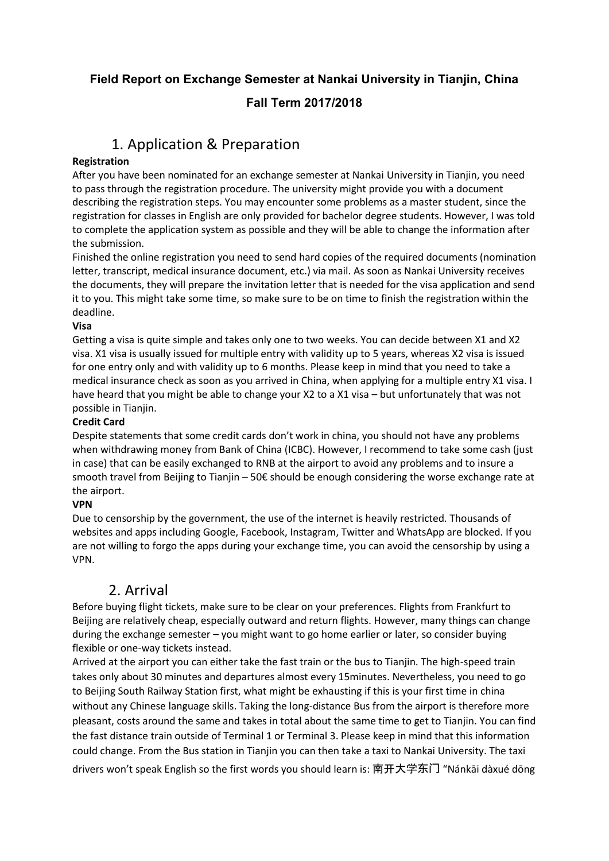### **Field Report on Exchange Semester at Nankai University in Tianjin, China**

### **Fall Term 2017/2018**

## 1. Application & Preparation

### **Registration**

After you have been nominated for an exchange semester at Nankai University in Tianjin, you need to pass through the registration procedure. The university might provide you with a document describing the registration steps. You may encounter some problems as a master student, since the registration for classes in English are only provided for bachelor degree students. However, I was told to complete the application system as possible and they will be able to change the information after the submission.

Finished the online registration you need to send hard copies of the required documents (nomination letter, transcript, medical insurance document, etc.) via mail. As soon as Nankai University receives the documents, they will prepare the invitation letter that is needed for the visa application and send it to you. This might take some time, so make sure to be on time to finish the registration within the deadline.

### **Visa**

Getting a visa is quite simple and takes only one to two weeks. You can decide between X1 and X2 visa. X1 visa is usually issued for multiple entry with validity up to 5 years, whereas X2 visa is issued for one entry only and with validity up to 6 months. Please keep in mind that you need to take a medical insurance check as soon as you arrived in China, when applying for a multiple entry X1 visa. I have heard that you might be able to change your X2 to a X1 visa - but unfortunately that was not possible in Tianjin.

### **Credit Card**

Despite statements that some credit cards don't work in china, you should not have any problems when withdrawing money from Bank of China (ICBC). However, I recommend to take some cash (just in case) that can be easily exchanged to RNB at the airport to avoid any problems and to insure a smooth travel from Beijing to Tianjin – 50€ should be enough considering the worse exchange rate at the airport.

### **VPN**

Due to censorship by the government, the use of the internet is heavily restricted. Thousands of websites and apps including Google, Facebook, Instagram, Twitter and WhatsApp are blocked. If you are not willing to forgo the apps during your exchange time, you can avoid the censorship by using a VPN.

## 2. Arrival

Before buying flight tickets, make sure to be clear on your preferences. Flights from Frankfurt to Beijing are relatively cheap, especially outward and return flights. However, many things can change during the exchange semester  $-$  you might want to go home earlier or later, so consider buying flexible or one-way tickets instead.

Arrived at the airport you can either take the fast train or the bus to Tianjin. The high-speed train takes only about 30 minutes and departures almost every 15minutes. Nevertheless, you need to go to Beijing South Railway Station first, what might be exhausting if this is your first time in china without any Chinese language skills. Taking the long-distance Bus from the airport is therefore more pleasant, costs around the same and takes in total about the same time to get to Tianjin. You can find the fast distance train outside of Terminal 1 or Terminal 3. Please keep in mind that this information could change. From the Bus station in Tianjin you can then take a taxi to Nankai University. The taxi drivers won't speak English so the first words you should learn is: 南开大学东门 "Nánkāi dàxué dōng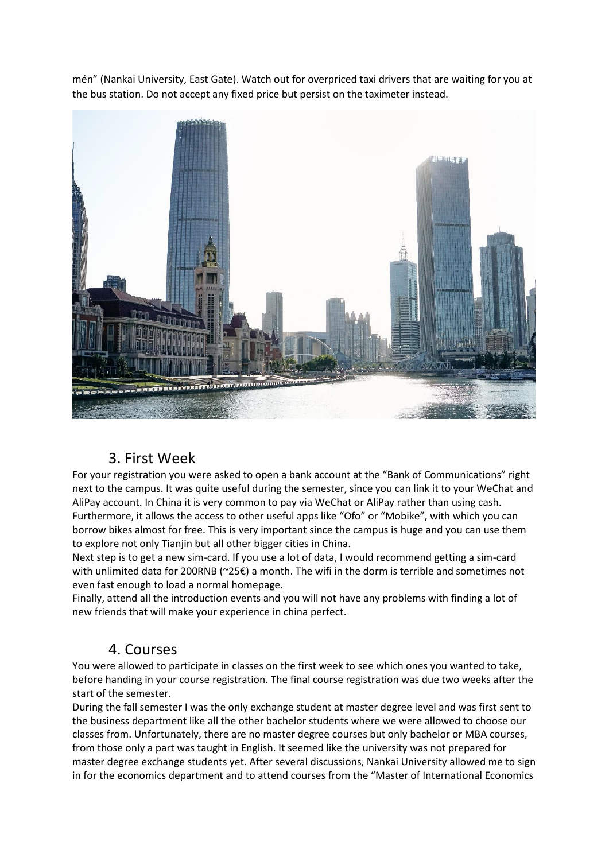mén" (Nankai University, East Gate). Watch out for overpriced taxi drivers that are waiting for you at the bus station. Do not accept any fixed price but persist on the taximeter instead.



## 3. First Week

For your registration you were asked to open a bank account at the "Bank of Communications" right next to the campus. It was quite useful during the semester, since you can link it to your WeChat and AliPay account. In China it is very common to pay via WeChat or AliPay rather than using cash. Furthermore, it allows the access to other useful apps like "Ofo" or "Mobike", with which you can borrow bikes almost for free. This is very important since the campus is huge and you can use them to explore not only Tianjin but all other bigger cities in China.

Next step is to get a new sim-card. If you use a lot of data, I would recommend getting a sim-card with unlimited data for 200RNB ( $\approx$ 25€) a month. The wifi in the dorm is terrible and sometimes not even fast enough to load a normal homepage.

Finally, attend all the introduction events and you will not have any problems with finding a lot of new friends that will make your experience in china perfect.

### 4. Courses

You were allowed to participate in classes on the first week to see which ones you wanted to take, before handing in your course registration. The final course registration was due two weeks after the start of the semester.

During the fall semester I was the only exchange student at master degree level and was first sent to the business department like all the other bachelor students where we were allowed to choose our classes from. Unfortunately, there are no master degree courses but only bachelor or MBA courses, from those only a part was taught in English. It seemed like the university was not prepared for master degree exchange students yet. After several discussions, Nankai University allowed me to sign in for the economics department and to attend courses from the "Master of International Economics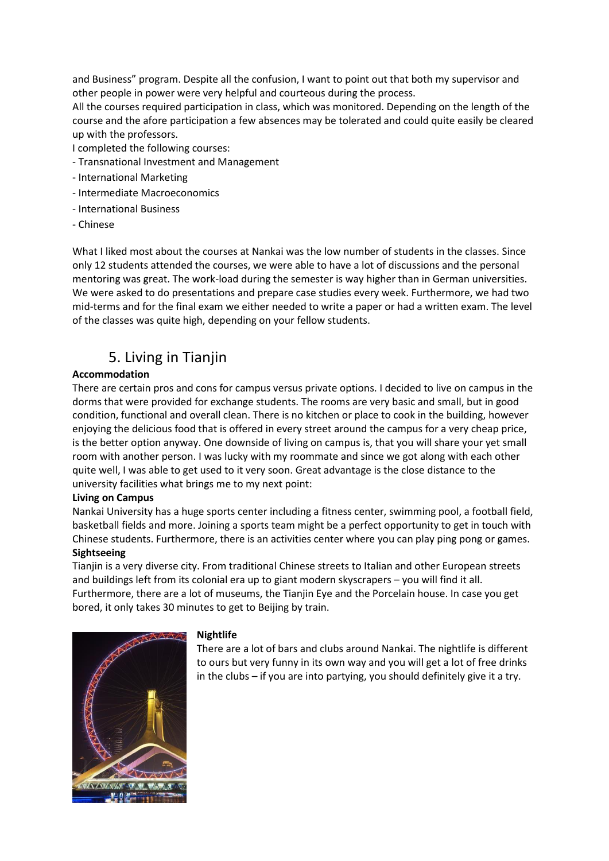and Business" program. Despite all the confusion, I want to point out that both my supervisor and other people in power were very helpful and courteous during the process.

All the courses required participation in class, which was monitored. Depending on the length of the course and the afore participation a few absences may be tolerated and could quite easily be cleared up with the professors.

I completed the following courses:

- Transnational Investment and Management
- International Marketing
- Intermediate Macroeconomics
- International Business
- Chinese

What I liked most about the courses at Nankai was the low number of students in the classes. Since only 12 students attended the courses, we were able to have a lot of discussions and the personal mentoring was great. The work-load during the semester is way higher than in German universities. We were asked to do presentations and prepare case studies every week. Furthermore, we had two mid-terms and for the final exam we either needed to write a paper or had a written exam. The level of the classes was quite high, depending on your fellow students.

## 5. Living in Tianjin

### **Accommodation**

There are certain pros and cons for campus versus private options. I decided to live on campus in the dorms that were provided for exchange students. The rooms are very basic and small, but in good condition, functional and overall clean. There is no kitchen or place to cook in the building, however enjoying the delicious food that is offered in every street around the campus for a very cheap price, is the better option anyway. One downside of living on campus is, that you will share your yet small room with another person. I was lucky with my roommate and since we got along with each other quite well, I was able to get used to it very soon. Great advantage is the close distance to the university facilities what brings me to my next point:

#### **Living on Campus**

Nankai University has a huge sports center including a fitness center, swimming pool, a football field, basketball fields and more. Joining a sports team might be a perfect opportunity to get in touch with Chinese students. Furthermore, there is an activities center where you can play ping pong or games. **Sightseeing** 

Tianjin is a very diverse city. From traditional Chinese streets to Italian and other European streets and buildings left from its colonial era up to giant modern skyscrapers - you will find it all. Furthermore, there are a lot of museums, the Tianjin Eye and the Porcelain house. In case you get bored, it only takes 30 minutes to get to Beijing by train.



#### **Nightlife**

There are a lot of bars and clubs around Nankai. The nightlife is different to ours but very funny in its own way and you will get a lot of free drinks in the clubs  $-$  if you are into partying, you should definitely give it a try.